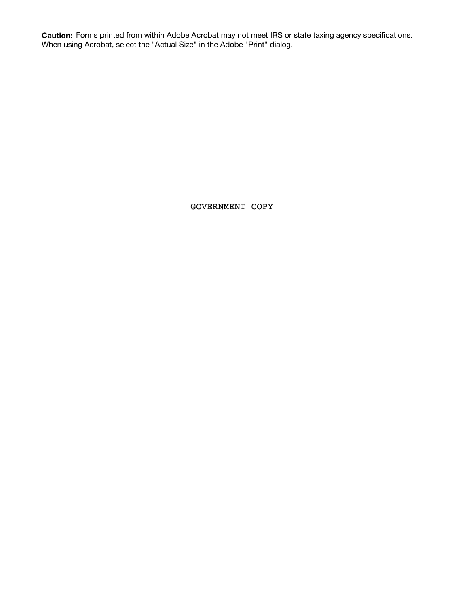**Caution:** Forms printed from within Adobe Acrobat may not meet IRS or state taxing agency specifications. When using Acrobat, select the "Actual Size" in the Adobe "Print" dialog.

GOVERNMENT COPY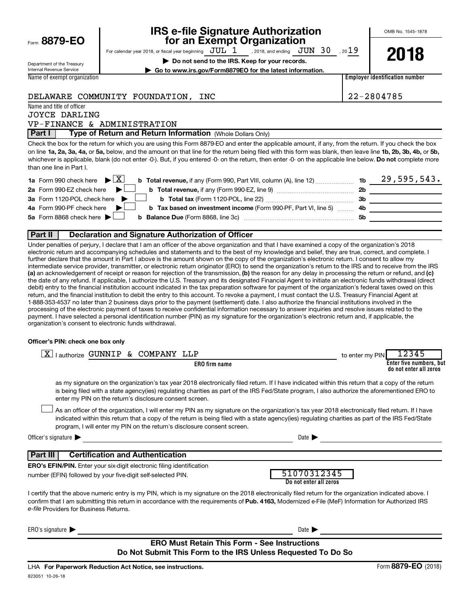| Form 8879-EO |  |
|--------------|--|
|              |  |

# **IRS e-file Signature Authorization**<br>**687 For an Exempt Organization**

OMB No. 1545-1878

For calendar year 2018, or fiscal year beginning  $JUL$  1 , 2018, and ending  $JUN$  30 , 2019 , 2018, and ending  $\rm\,JUN$   $\rm\,30$ 

**| Do not send to the IRS. Keep for your records.**



Department of the Treasury Internal Revenue Service Name of exempt organization

**| Go to www.irs.gov/Form8879EO for the latest information.**

**Employer identification number**

## DELAWARE COMMUNITY FOUNDATION, INC 22-2804785

Name and title of officer JOYCE DARLING

VP-FINANCE & ADMINISTRATION

**Part I** | Type of Return and Return Information (Whole Dollars Only)

on line 1a, 2a, 3a, 4a, or 5a, below, and the amount on that line for the return being filed with this form was blank, then leave line 1b, 2b, 3b, 4b, or 5b, whichever is applicable, blank (do not enter -0-). But, if you entered -0- on the return, then enter -0- on the applicable line below. **Do not** complete more Check the box for the return for which you are using this Form 8879-EO and enter the applicable amount, if any, from the return. If you check the box than one line in Part I.

| <b>1a</b> Form 990 check here $\triangleright \boxed{X}$                                                                             |     | 29,595,543. |
|--------------------------------------------------------------------------------------------------------------------------------------|-----|-------------|
| 2a Form 990-EZ check here $\blacktriangleright$<br><b>b</b> Total revenue, if any (Form 990-EZ, line 9) <i>manageranan</i> manageran | 2b  |             |
| 3a Form 1120-POL check here                                                                                                          | -3b |             |
| 4a Form 990-PF check here $\blacktriangleright$<br><b>b</b> Tax based on investment income (Form 990-PF, Part VI, line 5) 4b         |     |             |
| 5a Form 8868 check here $\blacktriangleright$                                                                                        | .5b |             |
|                                                                                                                                      |     |             |

### **Part II Declaration and Signature Authorization of Officer**

(a) an acknowledgement of receipt or reason for rejection of the transmission, (b) the reason for any delay in processing the return or refund, and (c) Under penalties of perjury, I declare that I am an officer of the above organization and that I have examined a copy of the organization's 2018 electronic return and accompanying schedules and statements and to the best of my knowledge and belief, they are true, correct, and complete. I further declare that the amount in Part I above is the amount shown on the copy of the organization's electronic return. I consent to allow my intermediate service provider, transmitter, or electronic return originator (ERO) to send the organization's return to the IRS and to receive from the IRS the date of any refund. If applicable, I authorize the U.S. Treasury and its designated Financial Agent to initiate an electronic funds withdrawal (direct debit) entry to the financial institution account indicated in the tax preparation software for payment of the organization's federal taxes owed on this return, and the financial institution to debit the entry to this account. To revoke a payment, I must contact the U.S. Treasury Financial Agent at 1-888-353-4537 no later than 2 business days prior to the payment (settlement) date. I also authorize the financial institutions involved in the processing of the electronic payment of taxes to receive confidential information necessary to answer inquiries and resolve issues related to the payment. I have selected a personal identification number (PIN) as my signature for the organization's electronic return and, if applicable, the organization's consent to electronic funds withdrawal.

#### **Officer's PIN: check one box only**

| lauthorize GUNNIP & COMPANY LLP<br>x                                                                                                                                                                                                                                                                                                                                             | 12345<br>to enter my PIN                          |
|----------------------------------------------------------------------------------------------------------------------------------------------------------------------------------------------------------------------------------------------------------------------------------------------------------------------------------------------------------------------------------|---------------------------------------------------|
| <b>ERO</b> firm name                                                                                                                                                                                                                                                                                                                                                             | Enter five numbers, but<br>do not enter all zeros |
| as my signature on the organization's tax year 2018 electronically filed return. If I have indicated within this return that a copy of the return<br>is being filed with a state agency(ies) regulating charities as part of the IRS Fed/State program, I also authorize the aforementioned ERO to<br>enter my PIN on the return's disclosure consent screen.                    |                                                   |
| As an officer of the organization, I will enter my PIN as my signature on the organization's tax year 2018 electronically filed return. If I have<br>indicated within this return that a copy of the return is being filed with a state agency(ies) regulating charities as part of the IRS Fed/State<br>program, I will enter my PIN on the return's disclosure consent screen. |                                                   |
| Officer's signature $\blacktriangleright$<br>Date $\blacksquare$                                                                                                                                                                                                                                                                                                                 |                                                   |
| <b>Certification and Authentication</b><br>Part III                                                                                                                                                                                                                                                                                                                              |                                                   |
| <b>ERO's EFIN/PIN.</b> Enter your six-digit electronic filing identification                                                                                                                                                                                                                                                                                                     |                                                   |
| 51070312345<br>number (EFIN) followed by your five-digit self-selected PIN.<br>Do not enter all zeros                                                                                                                                                                                                                                                                            |                                                   |
| I certify that the above numeric entry is my PIN, which is my signature on the 2018 electronically filed return for the organization indicated above. I<br>confirm that I am submitting this return in accordance with the requirements of Pub. 4163, Modernized e-File (MeF) Information for Authorized IRS<br>e-file Providers for Business Returns.                           |                                                   |
| ERO's signature $\blacktriangleright$<br>Date $\blacktriangleright$                                                                                                                                                                                                                                                                                                              |                                                   |
| <b>ERO Must Retain This Form - See Instructions</b><br>Do Not Submit This Form to the IRS Unless Requested To Do So                                                                                                                                                                                                                                                              |                                                   |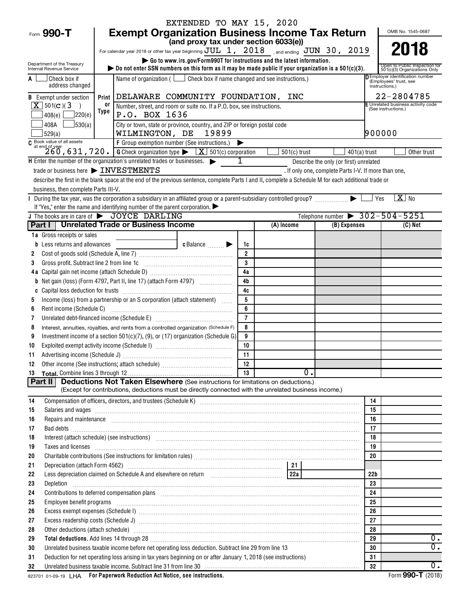| EXTENDED TO MAY 15, 2020                                                                                                                                                                                                                      |                                                                                                                                                                                                                                                                                                                                                                                                                                            |                |                |                                                      |                     |                                                               |
|-----------------------------------------------------------------------------------------------------------------------------------------------------------------------------------------------------------------------------------------------|--------------------------------------------------------------------------------------------------------------------------------------------------------------------------------------------------------------------------------------------------------------------------------------------------------------------------------------------------------------------------------------------------------------------------------------------|----------------|----------------|------------------------------------------------------|---------------------|---------------------------------------------------------------|
| Form 990-T                                                                                                                                                                                                                                    | <b>Exempt Organization Business Income Tax Return</b><br>OMB No. 1545-0687                                                                                                                                                                                                                                                                                                                                                                 |                |                |                                                      |                     |                                                               |
|                                                                                                                                                                                                                                               | (and proxy tax under section 6033(e))                                                                                                                                                                                                                                                                                                                                                                                                      |                |                |                                                      |                     |                                                               |
|                                                                                                                                                                                                                                               | For calendar year 2018 or other tax year beginning $JUL$ 1, $2018$ , and ending $JUN$ 30, $2019$                                                                                                                                                                                                                                                                                                                                           |                |                |                                                      |                     | 2018                                                          |
| Department of the Treasury                                                                                                                                                                                                                    | Go to www.irs.gov/Form990T for instructions and the latest information.                                                                                                                                                                                                                                                                                                                                                                    |                |                |                                                      |                     |                                                               |
| Internal Revenue Service                                                                                                                                                                                                                      | bo not enter SSN numbers on this form as it may be made public if your organization is a $501(c)(3)$ .                                                                                                                                                                                                                                                                                                                                     |                |                |                                                      |                     | Open to Public Inspection for<br>501(c)(3) Organizations Only |
| Check box if                                                                                                                                                                                                                                  | <b>DEmployer identification number</b><br>Name of organization ( $\Box$ Check box if name changed and see instructions.)<br>(Employees' trust, see                                                                                                                                                                                                                                                                                         |                |                |                                                      |                     |                                                               |
|                                                                                                                                                                                                                                               | address changed<br>instructions.)                                                                                                                                                                                                                                                                                                                                                                                                          |                |                |                                                      |                     |                                                               |
| <b>B</b> Exempt under section                                                                                                                                                                                                                 | DELAWARE COMMUNITY FOUNDATION, INC<br>Print                                                                                                                                                                                                                                                                                                                                                                                                |                |                |                                                      |                     | 22-2804785                                                    |
| $X$ 501(c)(3)<br>$\rightarrow$                                                                                                                                                                                                                | 0ľ<br>Number, street, and room or suite no. If a P.O. box, see instructions.<br>Type                                                                                                                                                                                                                                                                                                                                                       |                |                |                                                      | (See instructions.) | E Unrelated business activity code                            |
| 7220(e)<br>408(e)                                                                                                                                                                                                                             | P.O. BOX 1636                                                                                                                                                                                                                                                                                                                                                                                                                              |                |                |                                                      |                     |                                                               |
| $\frac{1}{30(a)}$<br>408A                                                                                                                                                                                                                     | City or town, state or province, country, and ZIP or foreign postal code                                                                                                                                                                                                                                                                                                                                                                   |                |                |                                                      |                     |                                                               |
| 529(a)                                                                                                                                                                                                                                        | WILMINGTON, DE 19899                                                                                                                                                                                                                                                                                                                                                                                                                       |                |                |                                                      | 900000              |                                                               |
|                                                                                                                                                                                                                                               | $\begin{array}{l l} \hline \textbf{G} & \textbf{Book value of all assets} \\ \hline \textbf{G} & \textbf{total degree of all assets} \\ \hline 260, 631, 720. \end{array} \hspace{0.2cm} \begin{array}{l} \hline \textbf{Group experimentation number (See instructions.)} \\ \hline \textbf{G Check organization type} \end{array} \hspace{0.2cm} \begin{array}{l} \hline \textbf{K} & \textbf{501(c) corporation} \\ \hline \end{array}$ |                |                |                                                      |                     |                                                               |
|                                                                                                                                                                                                                                               |                                                                                                                                                                                                                                                                                                                                                                                                                                            |                | $501(c)$ trust | $401(a)$ trust                                       |                     | Other trust                                                   |
|                                                                                                                                                                                                                                               | H Enter the number of the organization's unrelated trades or businesses.                                                                                                                                                                                                                                                                                                                                                                   | 1              |                | Describe the only (or first) unrelated               |                     |                                                               |
|                                                                                                                                                                                                                                               | trade or business here > INVESTMENTS                                                                                                                                                                                                                                                                                                                                                                                                       |                |                | . If only one, complete Parts I-V. If more than one, |                     |                                                               |
|                                                                                                                                                                                                                                               | describe the first in the blank space at the end of the previous sentence, complete Parts I and II, complete a Schedule M for each additional trade or                                                                                                                                                                                                                                                                                     |                |                |                                                      |                     |                                                               |
| business, then complete Parts III-V.                                                                                                                                                                                                          |                                                                                                                                                                                                                                                                                                                                                                                                                                            |                |                |                                                      |                     |                                                               |
| $\mathbf{I}$                                                                                                                                                                                                                                  | During the tax year, was the corporation a subsidiary in an affiliated group or a parent-subsidiary controlled group?                                                                                                                                                                                                                                                                                                                      |                |                |                                                      | Yes                 | $\overline{X}$ No                                             |
|                                                                                                                                                                                                                                               | If "Yes," enter the name and identifying number of the parent corporation.                                                                                                                                                                                                                                                                                                                                                                 |                |                |                                                      |                     |                                                               |
|                                                                                                                                                                                                                                               | J The books are in care of $\rightarrow$ JOYCE DARLING                                                                                                                                                                                                                                                                                                                                                                                     |                |                | Telephone number $\rightarrow$ 302-504-5251          |                     |                                                               |
|                                                                                                                                                                                                                                               | Part I   Unrelated Trade or Business Income                                                                                                                                                                                                                                                                                                                                                                                                |                | (A) Income     | (B) Expenses                                         |                     | (C) Net                                                       |
| <b>1a</b> Gross receipts or sales                                                                                                                                                                                                             |                                                                                                                                                                                                                                                                                                                                                                                                                                            |                |                |                                                      |                     |                                                               |
| Less returns and allowances                                                                                                                                                                                                                   | $c$ Balance $\qquad \qquad \blacktriangleright$                                                                                                                                                                                                                                                                                                                                                                                            | 1c             |                |                                                      |                     |                                                               |
| 2                                                                                                                                                                                                                                             |                                                                                                                                                                                                                                                                                                                                                                                                                                            | $\overline{2}$ |                |                                                      |                     |                                                               |
| Gross profit. Subtract line 2 from line 1c<br>3                                                                                                                                                                                               |                                                                                                                                                                                                                                                                                                                                                                                                                                            | 3              |                |                                                      |                     |                                                               |
| 4 a                                                                                                                                                                                                                                           |                                                                                                                                                                                                                                                                                                                                                                                                                                            | 4a             |                |                                                      |                     |                                                               |
| b                                                                                                                                                                                                                                             |                                                                                                                                                                                                                                                                                                                                                                                                                                            | 4 <sub>b</sub> |                |                                                      |                     |                                                               |
|                                                                                                                                                                                                                                               |                                                                                                                                                                                                                                                                                                                                                                                                                                            | 4c             |                |                                                      |                     |                                                               |
| 5                                                                                                                                                                                                                                             | Income (loss) from a partnership or an S corporation (attach statement)                                                                                                                                                                                                                                                                                                                                                                    | 5              |                |                                                      |                     |                                                               |
| Rent income (Schedule C)<br>6                                                                                                                                                                                                                 |                                                                                                                                                                                                                                                                                                                                                                                                                                            | 6              |                |                                                      |                     |                                                               |
| 7                                                                                                                                                                                                                                             |                                                                                                                                                                                                                                                                                                                                                                                                                                            | $\overline{7}$ |                |                                                      |                     |                                                               |
| 8                                                                                                                                                                                                                                             | Interest, annuities, royalties, and rents from a controlled organization (Schedule F)                                                                                                                                                                                                                                                                                                                                                      | 8              |                |                                                      |                     |                                                               |
| 9                                                                                                                                                                                                                                             | Investment income of a section $501(c)(7)$ , (9), or (17) organization (Schedule G)                                                                                                                                                                                                                                                                                                                                                        | 9              |                |                                                      |                     |                                                               |
| 10                                                                                                                                                                                                                                            |                                                                                                                                                                                                                                                                                                                                                                                                                                            | 10             |                |                                                      |                     |                                                               |
| 11                                                                                                                                                                                                                                            |                                                                                                                                                                                                                                                                                                                                                                                                                                            | 11             |                |                                                      |                     |                                                               |
| 12                                                                                                                                                                                                                                            |                                                                                                                                                                                                                                                                                                                                                                                                                                            | 12             |                |                                                      |                     |                                                               |
| 13                                                                                                                                                                                                                                            | 0.<br>13                                                                                                                                                                                                                                                                                                                                                                                                                                   |                |                |                                                      |                     |                                                               |
| Part II                                                                                                                                                                                                                                       | <b>Deductions Not Taken Elsewhere</b> (See instructions for limitations on deductions.)                                                                                                                                                                                                                                                                                                                                                    |                |                |                                                      |                     |                                                               |
|                                                                                                                                                                                                                                               | (Except for contributions, deductions must be directly connected with the unrelated business income.)                                                                                                                                                                                                                                                                                                                                      |                |                |                                                      |                     |                                                               |
| 14                                                                                                                                                                                                                                            |                                                                                                                                                                                                                                                                                                                                                                                                                                            |                |                |                                                      | 14                  |                                                               |
| 15                                                                                                                                                                                                                                            | Salaries and wages information continuous contracts and was a statement of the statement of the statement of the statement of the statement of the statement of the statement of the statement of the statement of the stateme                                                                                                                                                                                                             |                |                |                                                      | 15<br>16            |                                                               |
| 16                                                                                                                                                                                                                                            | Repairs and maintenance <i>maintenance</i> and contained and contained and contained and maintenance and maintenance and                                                                                                                                                                                                                                                                                                                   |                |                |                                                      |                     |                                                               |
| 17                                                                                                                                                                                                                                            |                                                                                                                                                                                                                                                                                                                                                                                                                                            |                |                |                                                      |                     |                                                               |
| Interest (attach schedule) (see instructions) www.communications.communications are interest (attach schedule)<br>18                                                                                                                          |                                                                                                                                                                                                                                                                                                                                                                                                                                            |                |                |                                                      |                     |                                                               |
| Taxes and licenses <b>commissions</b> and <b>licenses contract the contract of the contract of the contract of the contract of the contract of the contract of the contract of the contract of the contract of the contract of the </b><br>19 |                                                                                                                                                                                                                                                                                                                                                                                                                                            |                |                |                                                      | 19                  |                                                               |
| 20                                                                                                                                                                                                                                            |                                                                                                                                                                                                                                                                                                                                                                                                                                            |                |                |                                                      | 20                  |                                                               |
| 21                                                                                                                                                                                                                                            |                                                                                                                                                                                                                                                                                                                                                                                                                                            |                |                |                                                      |                     |                                                               |
| 22                                                                                                                                                                                                                                            |                                                                                                                                                                                                                                                                                                                                                                                                                                            |                |                |                                                      | 22 <sub>b</sub>     |                                                               |
| 23<br>23<br>Depletion                                                                                                                                                                                                                         |                                                                                                                                                                                                                                                                                                                                                                                                                                            |                |                |                                                      |                     |                                                               |
| Contributions to deferred compensation plans [11] manufactured contributions to deferred compensation plans [1<br>24                                                                                                                          |                                                                                                                                                                                                                                                                                                                                                                                                                                            |                |                |                                                      | 24                  |                                                               |
| 25<br>Employee benefit programs in the continuum contract of the contract of the contract of the contract of the contract of the contract of the contract of the contract of the contract of the contract of the contract of the con          |                                                                                                                                                                                                                                                                                                                                                                                                                                            |                |                |                                                      | 25                  |                                                               |
| 26                                                                                                                                                                                                                                            |                                                                                                                                                                                                                                                                                                                                                                                                                                            |                |                |                                                      | 26                  |                                                               |
| 27<br>27                                                                                                                                                                                                                                      |                                                                                                                                                                                                                                                                                                                                                                                                                                            |                |                |                                                      |                     |                                                               |
| 28                                                                                                                                                                                                                                            | Other deductions (attach schedule) manufactured and contract and contract and contract and contract and contract and contract and contract and contract and contract and contract and contract and contract and contract and c<br>28                                                                                                                                                                                                       |                |                |                                                      |                     |                                                               |
| 29<br>29                                                                                                                                                                                                                                      |                                                                                                                                                                                                                                                                                                                                                                                                                                            |                |                |                                                      |                     | 0.                                                            |
| Unrelated business taxable income before net operating loss deduction. Subtract line 29 from line 13<br>30                                                                                                                                    |                                                                                                                                                                                                                                                                                                                                                                                                                                            |                |                |                                                      | 30                  | $\overline{0}$ .                                              |
| 31                                                                                                                                                                                                                                            | Deduction for net operating loss arising in tax years beginning on or after January 1, 2018 (see instructions)                                                                                                                                                                                                                                                                                                                             |                |                |                                                      | 31                  |                                                               |
| 32                                                                                                                                                                                                                                            | Unrelated business taxable income. Subtract line 31 from line 30 [11] www.communically.communically.communications.                                                                                                                                                                                                                                                                                                                        |                |                |                                                      | 32                  | 0.                                                            |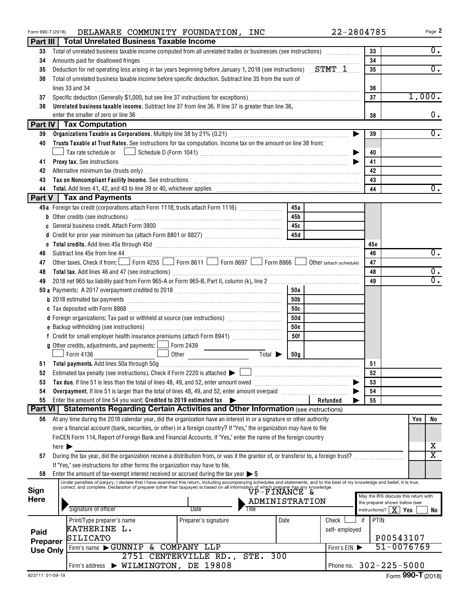| Form 990-T (2018) |                            | 22-2804785<br>DELAWARE COMMUNITY FOUNDATION, INC                                                                                                                                                                                  |                                                                       | Page 2                       |
|-------------------|----------------------------|-----------------------------------------------------------------------------------------------------------------------------------------------------------------------------------------------------------------------------------|-----------------------------------------------------------------------|------------------------------|
|                   |                            | Part III   Total Unrelated Business Taxable Income                                                                                                                                                                                |                                                                       |                              |
| 33                |                            | Total of unrelated business taxable income computed from all unrelated trades or businesses (see instructions)                                                                                                                    | 33                                                                    | $0$ .                        |
| 34                |                            | Amounts paid for disallowed fringes [11] Amount and the contract of the state of the state of the state of the state of the state of the state of the state of the state of the state of the state of the state of the state o    | 34                                                                    |                              |
| 35                |                            | Deduction for net operating loss arising in tax years beginning before January 1, 2018 (see instructions) $STMT - 1$                                                                                                              | 35                                                                    | $\overline{0}$ .             |
| 36                |                            | Total of unrelated business taxable income before specific deduction. Subtract line 35 from the sum of                                                                                                                            |                                                                       |                              |
|                   |                            | lines 33 and 34                                                                                                                                                                                                                   | 36                                                                    |                              |
| 37                |                            |                                                                                                                                                                                                                                   | 37                                                                    | 1,000.                       |
| 38                |                            | Unrelated business taxable income. Subtract line 37 from line 36. If line 37 is greater than line 36,                                                                                                                             |                                                                       |                              |
|                   |                            | enter the smaller of zero or line 36                                                                                                                                                                                              | 38                                                                    | 0.                           |
|                   |                            | Part IV   Tax Computation                                                                                                                                                                                                         |                                                                       |                              |
| 39                |                            |                                                                                                                                                                                                                                   | 39                                                                    | $0$ .                        |
| 40                |                            | Trusts Taxable at Trust Rates. See instructions for tax computation. Income tax on the amount on line 38 from:                                                                                                                    |                                                                       |                              |
|                   |                            |                                                                                                                                                                                                                                   | 40                                                                    |                              |
| 41                |                            | <b>Proxy tax.</b> See instructions <b>constructions b</b>                                                                                                                                                                         | 41                                                                    |                              |
| 42                |                            | Alternative minimum tax (trusts only) [11] Alternative manufacture manufacture minimum tax (trusts only) [11] Alternative minimum tax (trusts only) [11] Alternative minimum tax (trusts only) [11] Alternative minimum tax (t    | 42                                                                    |                              |
| 43                |                            | Tax on Noncompliant Facility Income. See instructions [11] Martin Martin Martin Martin Martin Martin Martin Ma                                                                                                                    | 43                                                                    |                              |
| 44                |                            | Part V   Tax and Payments                                                                                                                                                                                                         | 44                                                                    | $\overline{0}$ .             |
|                   |                            |                                                                                                                                                                                                                                   |                                                                       |                              |
|                   |                            | 45a Foreign tax credit (corporations attach Form 1118; trusts attach Form 1116) [<br>45a                                                                                                                                          |                                                                       |                              |
|                   |                            | 45b                                                                                                                                                                                                                               |                                                                       |                              |
| c                 |                            | 45с<br>45d                                                                                                                                                                                                                        |                                                                       |                              |
| d                 |                            |                                                                                                                                                                                                                                   | 45c                                                                   |                              |
| 46                |                            |                                                                                                                                                                                                                                   | 46                                                                    | $\overline{0}$ .             |
| 47                |                            | Other taxes. Check if from: Form 4255 Form 8611 Form 8697 Form 8866 O Other (attach schedule)                                                                                                                                     | 47                                                                    |                              |
| 48                |                            |                                                                                                                                                                                                                                   | 48                                                                    | $0$ .                        |
| 49                |                            |                                                                                                                                                                                                                                   | 49                                                                    | $\overline{0}$ .             |
|                   |                            | 50a                                                                                                                                                                                                                               |                                                                       |                              |
|                   |                            | 50b                                                                                                                                                                                                                               |                                                                       |                              |
|                   |                            | 50с                                                                                                                                                                                                                               |                                                                       |                              |
|                   |                            | d Foreign organizations: Tax paid or withheld at source (see instructions)<br>50d                                                                                                                                                 |                                                                       |                              |
|                   |                            | <b>50c</b>                                                                                                                                                                                                                        |                                                                       |                              |
|                   |                            | 50f                                                                                                                                                                                                                               |                                                                       |                              |
|                   |                            | <b>g</b> Other credits, adjustments, and payments: $\Box$ Form 2439                                                                                                                                                               |                                                                       |                              |
|                   |                            | Form 4136<br>Total $\blacktriangleright$<br>Other<br>50g                                                                                                                                                                          |                                                                       |                              |
|                   |                            |                                                                                                                                                                                                                                   | 51                                                                    |                              |
| 52                |                            | Estimated tax penalty (see instructions). Check if Form 2220 is attached $\blacktriangleright$                                                                                                                                    | 52                                                                    |                              |
| 53                |                            |                                                                                                                                                                                                                                   | 53                                                                    |                              |
| 54                |                            | Overpayment. If line 51 is larger than the total of lines 48, 49, and 52, enter amount overpaid                                                                                                                                   | 54                                                                    |                              |
| 55                |                            | Enter the amount of line 54 you want: Credited to 2019 estimated tax<br>Refunded                                                                                                                                                  | 55                                                                    |                              |
| <b>Part VI</b>    |                            | <b>Statements Regarding Certain Activities and Other Information (see instructions)</b>                                                                                                                                           |                                                                       |                              |
| 56                |                            | At any time during the 2018 calendar year, did the organization have an interest in or a signature or other authority                                                                                                             |                                                                       | Yes<br>No                    |
|                   |                            | over a financial account (bank, securities, or other) in a foreign country? If "Yes," the organization may have to file                                                                                                           |                                                                       |                              |
|                   |                            | FinCEN Form 114, Report of Foreign Bank and Financial Accounts. If "Yes," enter the name of the foreign country                                                                                                                   |                                                                       |                              |
|                   | here $\blacktriangleright$ |                                                                                                                                                                                                                                   |                                                                       | x<br>$\overline{\mathtt{x}}$ |
| 57                |                            | During the tax year, did the organization receive a distribution from, or was it the grantor of, or transferor to, a foreign trust?                                                                                               |                                                                       |                              |
| 58                |                            | If "Yes," see instructions for other forms the organization may have to file.<br>Enter the amount of tax-exempt interest received or accrued during the tax year $\triangleright$ \$                                              |                                                                       |                              |
|                   |                            | Under penalties of perjury, I declare that I have examined this return, including accompanying schedules and statements, and to the best of my knowledge and belief, it is true,                                                  |                                                                       |                              |
| Sign              |                            | Correct, and complete. Declaration of preparer (other than taxpayer) is based on all information of which preparer has any knowledge.<br>Correct, and complete. Declaration of preparer (other than taxpayer) is based on all inf |                                                                       |                              |
| Here              |                            | ADMINISTRATION                                                                                                                                                                                                                    | May the IRS discuss this return with<br>the preparer shown below (see |                              |
|                   |                            | Signature of officer<br>Date<br>Title                                                                                                                                                                                             | instructions)? $ X $                                                  | Yes<br>No                    |
|                   |                            | Date<br>Check<br>Print/Type preparer's name<br>Preparer's signature<br>if                                                                                                                                                         | PTIN                                                                  |                              |
| Paid              |                            | KATHERINE L.<br>self-employed                                                                                                                                                                                                     |                                                                       |                              |
| Preparer          |                            | SILICATO                                                                                                                                                                                                                          | P00543107                                                             |                              |
| <b>Use Only</b>   |                            | Firm's name GUNNIP & COMPANY LLP<br>Firm's EIN                                                                                                                                                                                    | 51-0076769                                                            |                              |
|                   |                            | 2751 CENTERVILLE RD., STE. 300                                                                                                                                                                                                    |                                                                       |                              |
|                   |                            | Firm's address > WILMINGTON, DE 19808                                                                                                                                                                                             | Phone no. 302-225-5000                                                |                              |
|                   |                            |                                                                                                                                                                                                                                   |                                                                       |                              |